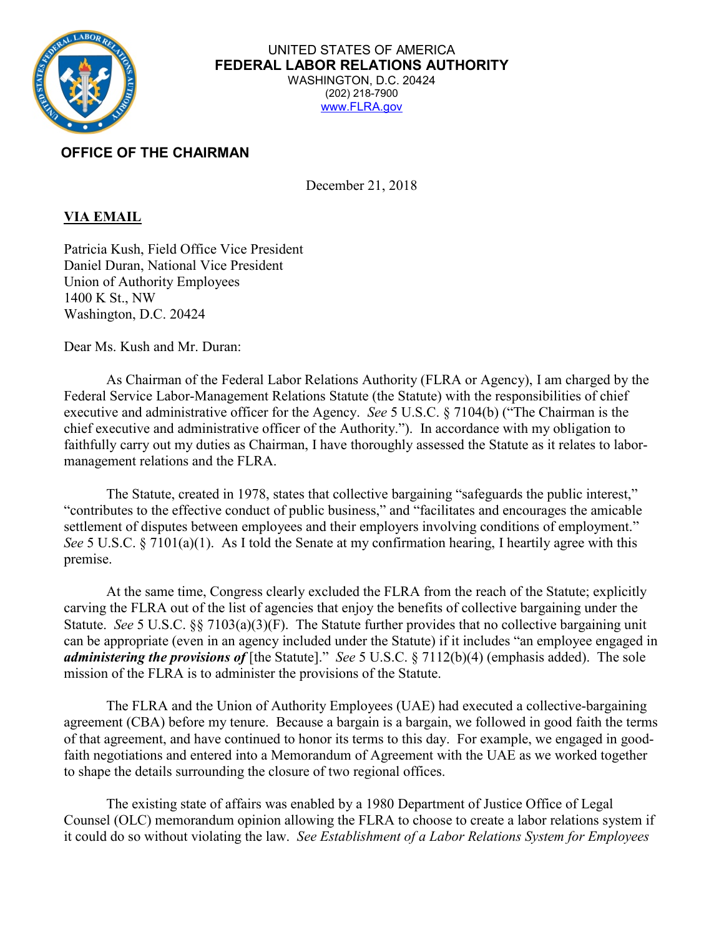

## UNITED STATES OF AMERICA **FEDERAL LABOR RELATIONS AUTHORITY** WASHINGTON, D.C. 20424 (202) 218-7900 www.FLRA.gov

## **OFFICE OF THE CHAIRMAN**

December 21, 2018

## **VIA EMAIL**

Patricia Kush, Field Office Vice President Daniel Duran, National Vice President Union of Authority Employees 1400 K St., NW Washington, D.C. 20424

Dear Ms. Kush and Mr. Duran:

As Chairman of the Federal Labor Relations Authority (FLRA or Agency), I am charged by the Federal Service Labor-Management Relations Statute (the Statute) with the responsibilities of chief executive and administrative officer for the Agency. *See* 5 U.S.C. § 7104(b) ("The Chairman is the chief executive and administrative officer of the Authority."). In accordance with my obligation to faithfully carry out my duties as Chairman, I have thoroughly assessed the Statute as it relates to labormanagement relations and the FLRA.

The Statute, created in 1978, states that collective bargaining "safeguards the public interest," "contributes to the effective conduct of public business," and "facilitates and encourages the amicable settlement of disputes between employees and their employers involving conditions of employment." *See* 5 U.S.C. § 7101(a)(1). As I told the Senate at my confirmation hearing, I heartily agree with this premise.

At the same time, Congress clearly excluded the FLRA from the reach of the Statute; explicitly carving the FLRA out of the list of agencies that enjoy the benefits of collective bargaining under the Statute. *See* 5 U.S.C. §§ 7103(a)(3)(F). The Statute further provides that no collective bargaining unit can be appropriate (even in an agency included under the Statute) if it includes "an employee engaged in *administering the provisions of* [the Statute]." *See* 5 U.S.C. § 7112(b)(4) (emphasis added). The sole mission of the FLRA is to administer the provisions of the Statute.

The FLRA and the Union of Authority Employees (UAE) had executed a collective-bargaining agreement (CBA) before my tenure. Because a bargain is a bargain, we followed in good faith the terms of that agreement, and have continued to honor its terms to this day. For example, we engaged in goodfaith negotiations and entered into a Memorandum of Agreement with the UAE as we worked together to shape the details surrounding the closure of two regional offices.

The existing state of affairs was enabled by a 1980 Department of Justice Office of Legal Counsel (OLC) memorandum opinion allowing the FLRA to choose to create a labor relations system if it could do so without violating the law. *See Establishment of a Labor Relations System for Employees*